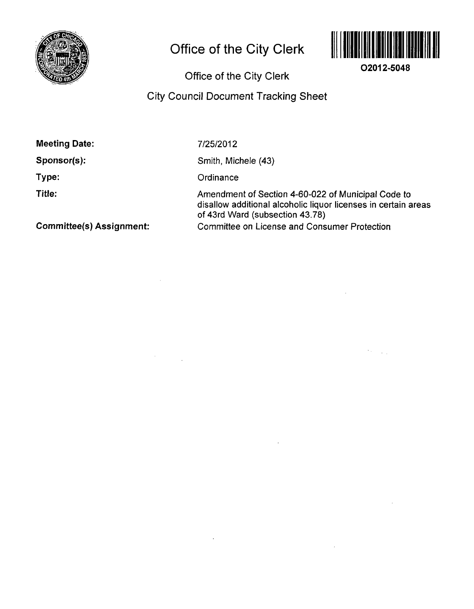

# **Office of the City Clerk**



**02012-5048** 

 $\mathcal{O}(\mathcal{O}_{\mathcal{O}_{\mathcal{A}}})$ 

**Office of the City Clerk** 

## **City Council Document Tracking Sheet**

**Meeting Date:** 

**Sponsor(s):** 

**Type:** 

**Title:** 

7/25/2012

Smith, Michele (43)

**Ordinance** 

Amendment of Section 4-60-022 of Municipal Code to disallow additional alcoholic liquor licenses in certain areas of 43rd Ward (subsection 43.78) Committee on License and Consumer Protection

**Committee(s) Assignment:**